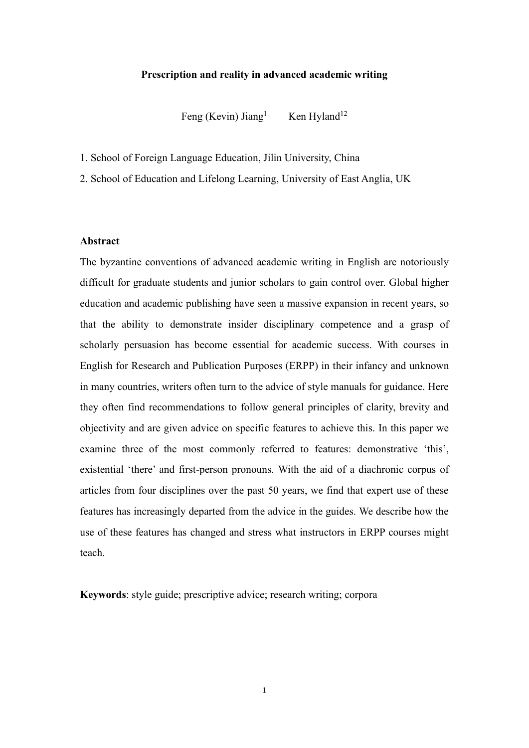### **Prescription and reality in advanced academic writing**

Feng (Kevin) Jiang $<sup>1</sup>$ </sup> Ken Hyland $12$ 

- 1. School of Foreign Language Education, Jilin University, China
- 2. School of Education and Lifelong Learning, University of East Anglia, UK

# **Abstract**

The byzantine conventions of advanced academic writing in English are notoriously difficult for graduate students and junior scholars to gain control over. Global higher education and academic publishing have seen a massive expansion in recent years, so that the ability to demonstrate insider disciplinary competence and a grasp of scholarly persuasion has become essential for academic success. With courses in English for Research and Publication Purposes (ERPP) in their infancy and unknown in many countries, writers often turn to the advice of style manuals for guidance. Here they often find recommendations to follow general principles of clarity, brevity and objectivity and are given advice on specific features to achieve this. In this paper we examine three of the most commonly referred to features: demonstrative 'this', existential 'there' and first-person pronouns. With the aid of a diachronic corpus of articles from four disciplines over the past 50 years, we find that expert use of these features has increasingly departed from the advice in the guides. We describe how the use of these features has changed and stress what instructors in ERPP courses might teach.

**Keywords**: style guide; prescriptive advice; research writing; corpora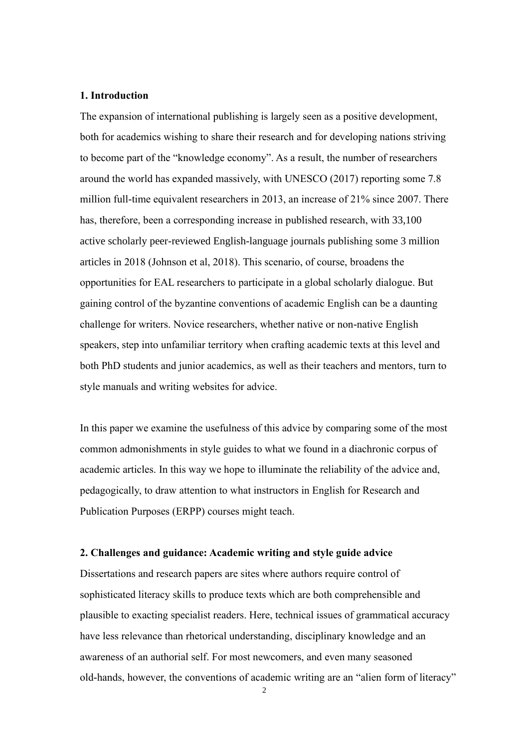# **1. Introduction**

The expansion of international publishing is largely seen as a positive development, both for academics wishing to share their research and for developing nations striving to become part of the "knowledge economy". As a result, the number of researchers around the world has expanded massively, with UNESCO (2017) reporting some 7.8 million full-time equivalent researchers in 2013, an increase of 21% since 2007. There has, therefore, been a corresponding increase in published research, with 33,100 active scholarly peer-reviewed English-language journals publishing some 3 million articles in 2018 (Johnson et al, 2018). This scenario, of course, broadens the opportunities for EAL researchers to participate in a global scholarly dialogue. But gaining control of the byzantine conventions of academic English can be a daunting challenge for writers. Novice researchers, whether native or non-native English speakers, step into unfamiliar territory when crafting academic texts at this level and both PhD students and junior academics, as well as their teachers and mentors, turn to style manuals and writing websites for advice.

In this paper we examine the usefulness of this advice by comparing some of the most common admonishments in style guides to what we found in a diachronic corpus of academic articles. In this way we hope to illuminate the reliability of the advice and, pedagogically, to draw attention to what instructors in English for Research and Publication Purposes (ERPP) courses might teach.

### **2. Challenges and guidance: Academic writing and style guide advice**

Dissertations and research papers are sites where authors require control of sophisticated literacy skills to produce texts which are both comprehensible and plausible to exacting specialist readers. Here, technical issues of grammatical accuracy have less relevance than rhetorical understanding, disciplinary knowledge and an awareness of an authorial self. For most newcomers, and even many seasoned old-hands, however, the conventions of academic writing are an "alien form of literacy"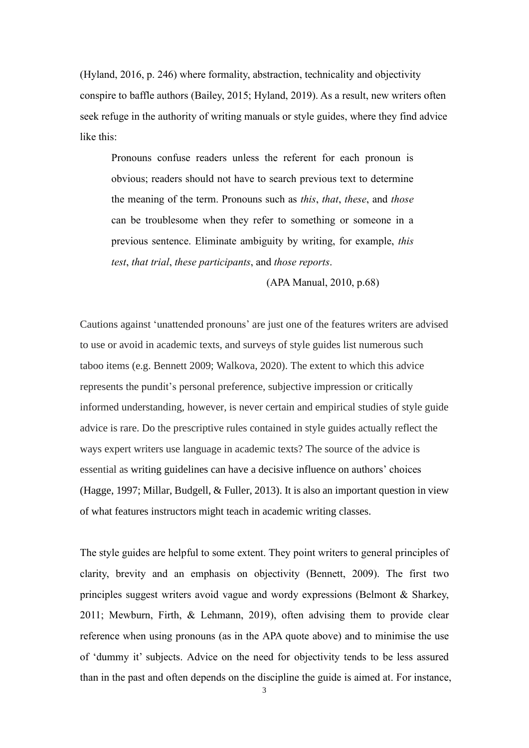(Hyland, 2016, p. 246) where formality, abstraction, technicality and objectivity conspire to baffle authors (Bailey, 2015; Hyland, 2019). As a result, new writers often seek refuge in the authority of writing manuals or style guides, where they find advice like this:

Pronouns confuse readers unless the referent for each pronoun is obvious; readers should not have to search previous text to determine the meaning of the term. Pronouns such as *this*, *that*, *these*, and *those* can be troublesome when they refer to something or someone in a previous sentence. Eliminate ambiguity by writing, for example, *this test*, *that trial*, *these participants*, and *those reports*.

(APA Manual, 2010, p.68)

Cautions against 'unattended pronouns' are just one of the features writers are advised to use or avoid in academic texts, and surveys of style guides list numerous such taboo items (e.g. Bennett 2009; Walkova, 2020). The extent to which this advice represents the pundit's personal preference, subjective impression or critically informed understanding, however, is never certain and empirical studies of style guide advice is rare. Do the prescriptive rules contained in style guides actually reflect the ways expert writers use language in academic texts? The source of the advice is essential as writing guidelines can have a decisive influence on authors' choices (Hagge, 1997; Millar, Budgell, & Fuller, 2013). It is also an important question in view of what features instructors might teach in academic writing classes.

The style guides are helpful to some extent. They point writers to general principles of clarity, brevity and an emphasis on objectivity (Bennett, 2009). The first two principles suggest writers avoid vague and wordy expressions (Belmont & Sharkey, 2011; Mewburn, Firth, & Lehmann, 2019), often advising them to provide clear reference when using pronouns (as in the APA quote above) and to minimise the use of 'dummy it' subjects. Advice on the need for objectivity tends to be less assured than in the past and often depends on the discipline the guide is aimed at. For instance,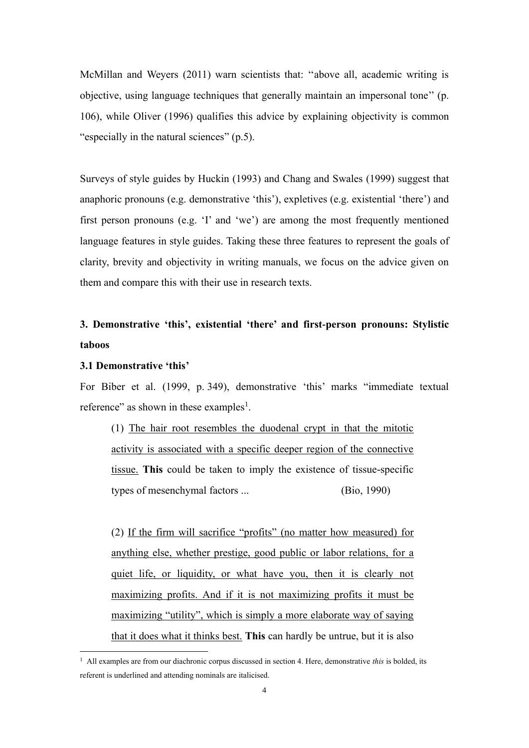McMillan and Weyers (2011) warn scientists that: ''above all, academic writing is objective, using language techniques that generally maintain an impersonal tone'' (p. 106), while Oliver (1996) qualifies this advice by explaining objectivity is common "especially in the natural sciences" (p.5).

Surveys of style guides by Huckin (1993) and Chang and Swales (1999) suggest that anaphoric pronouns (e.g. demonstrative 'this'), expletives (e.g. existential 'there') and first person pronouns (e.g. 'I' and 'we') are among the most frequently mentioned language features in style guides. Taking these three features to represent the goals of clarity, brevity and objectivity in writing manuals, we focus on the advice given on them and compare this with their use in research texts.

# **3. Demonstrative 'this', existential 'there' and first-person pronouns: Stylistic taboos**

## **3.1 Demonstrative 'this'**

For Biber et al. (1999, p. 349), demonstrative 'this' marks "immediate textual reference" as shown in these examples<sup>1</sup>.

(1) The hair root resembles the duodenal crypt in that the mitotic activity is associated with a specific deeper region of the connective tissue. **This** could be taken to imply the existence of tissue-specific types of mesenchymal factors ... (Bio, 1990)

(2) If the firm will sacrifice "profits" (no matter how measured) for anything else, whether prestige, good public or labor relations, for a quiet life, or liquidity, or what have you, then it is clearly not maximizing profits. And if it is not maximizing profits it must be maximizing "utility", which is simply a more elaborate way of saying that it does what it thinks best. **This** can hardly be untrue, but it is also

<sup>1</sup> All examples are from our diachronic corpus discussed in section 4. Here, demonstrative *this* is bolded, its referent is underlined and attending nominals are italicised.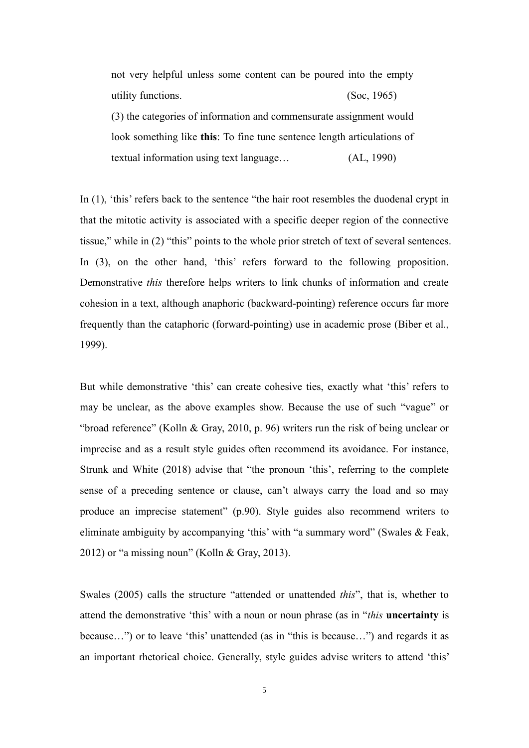not very helpful unless some content can be poured into the empty utility functions. (Soc, 1965) (3) the categories of information and commensurate assignment would look something like **this**: To fine tune sentence length articulations of textual information using text language… (AL, 1990)

In (1), 'this' refers back to the sentence "the hair root resembles the duodenal crypt in that the mitotic activity is associated with a specific deeper region of the connective tissue," while in (2) "this" points to the whole prior stretch of text of several sentences. In (3), on the other hand, 'this' refers forward to the following proposition. Demonstrative *this* therefore helps writers to link chunks of information and create cohesion in a text, although anaphoric (backward-pointing) reference occurs far more frequently than the cataphoric (forward-pointing) use in academic prose (Biber et al., 1999).

But while demonstrative 'this' can create cohesive ties, exactly what 'this' refers to may be unclear, as the above examples show. Because the use of such "vague" or "broad reference" (Kolln & Gray, 2010, p. 96) writers run the risk of being unclear or imprecise and as a result style guides often recommend its avoidance. For instance, Strunk and White (2018) advise that "the pronoun 'this', referring to the complete sense of a preceding sentence or clause, can't always carry the load and so may produce an imprecise statement" (p.90). Style guides also recommend writers to eliminate ambiguity by accompanying 'this' with "a summary word" (Swales & Feak, 2012) or "a missing noun" (Kolln & Gray, 2013).

Swales (2005) calls the structure "attended or unattended *this*", that is, whether to attend the demonstrative 'this' with a noun or noun phrase (as in "*this* **uncertainty** is because…") or to leave 'this' unattended (as in "this is because…") and regards it as an important rhetorical choice. Generally, style guides advise writers to attend 'this'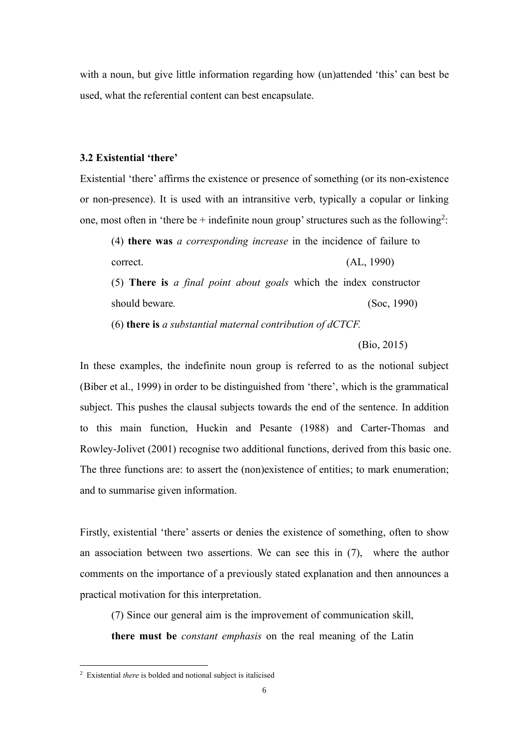with a noun, but give little information regarding how (un)attended 'this' can best be used, what the referential content can best encapsulate.

### **3.2 Existential 'there'**

Existential 'there' affirms the existence or presence of something (or its non-existence or non-presence). It is used with an intransitive verb, typically a copular or linking one, most often in 'there be + indefinite noun group' structures such as the following<sup>2</sup>:

(4) **there was** *a corresponding increase* in the incidence of failure to correct. (AL, 1990)

(5) **There is** *a final point about goals* which the index constructor should beware. (Soc, 1990)

(6) **there is** *a substantial maternal contribution of dCTCF.*

(Bio, 2015)

In these examples, the indefinite noun group is referred to as the notional subject (Biber et al., 1999) in order to be distinguished from 'there', which is the grammatical subject. This pushes the clausal subjects towards the end of the sentence. In addition to this main function, Huckin and Pesante (1988) and Carter-Thomas and Rowley-Jolivet (2001) recognise two additional functions, derived from this basic one. The three functions are: to assert the (non)existence of entities; to mark enumeration; and to summarise given information.

Firstly, existential 'there' asserts or denies the existence of something, often to show an association between two assertions. We can see this in (7), where the author comments on the importance of a previously stated explanation and then announces a practical motivation for this interpretation.

(7) Since our general aim is the improvement of communication skill, **there must be** *constant emphasis* on the real meaning of the Latin

<sup>2</sup> Existential *there* is bolded and notional subject is italicised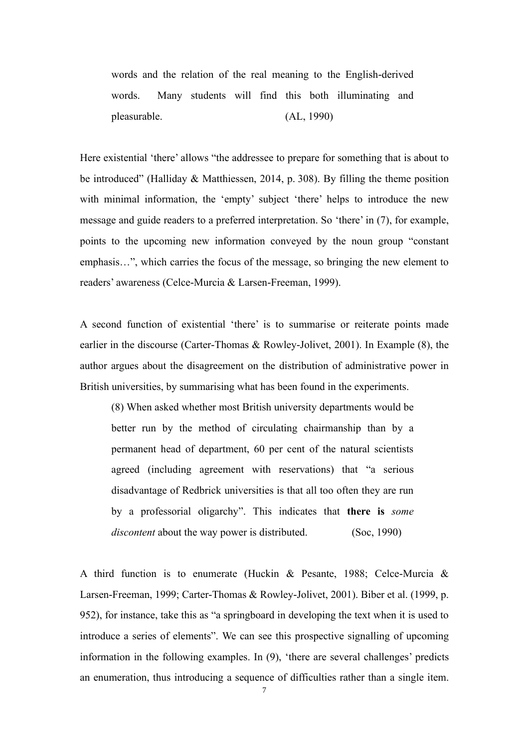words and the relation of the real meaning to the English-derived words. Many students will find this both illuminating and pleasurable. (AL, 1990)

Here existential 'there' allows "the addressee to prepare for something that is about to be introduced" (Halliday & Matthiessen, 2014, p. 308). By filling the theme position with minimal information, the 'empty' subject 'there' helps to introduce the new message and guide readers to a preferred interpretation. So 'there' in (7), for example, points to the upcoming new information conveyed by the noun group "constant emphasis…", which carries the focus of the message, so bringing the new element to readers' awareness (Celce-Murcia & Larsen-Freeman, 1999).

A second function of existential 'there' is to summarise or reiterate points made earlier in the discourse (Carter-Thomas & Rowley-Jolivet, 2001). In Example (8), the author argues about the disagreement on the distribution of administrative power in British universities, by summarising what has been found in the experiments.

(8) When asked whether most British university departments would be better run by the method of circulating chairmanship than by a permanent head of department, 60 per cent of the natural scientists agreed (including agreement with reservations) that "a serious disadvantage of Redbrick universities is that all too often they are run by a professorial oligarchy". This indicates that **there is** *some discontent* about the way power is distributed. (Soc, 1990)

A third function is to enumerate (Huckin & Pesante, 1988; Celce-Murcia & Larsen-Freeman, 1999; Carter-Thomas & Rowley-Jolivet, 2001). Biber et al. (1999, p. 952), for instance, take this as "a springboard in developing the text when it is used to introduce a series of elements". We can see this prospective signalling of upcoming information in the following examples. In (9), 'there are several challenges' predicts an enumeration, thus introducing a sequence of difficulties rather than a single item.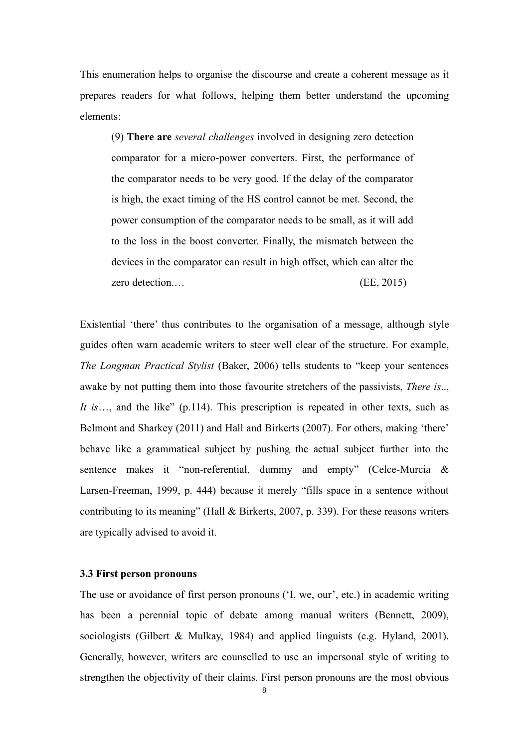This enumeration helps to organise the discourse and create a coherent message as it prepares readers for what follows, helping them better understand the upcoming elements:

(9) **There are** *several challenges* involved in designing zero detection comparator for a micro-power converters. First, the performance of the comparator needs to be very good. If the delay of the comparator is high, the exact timing of the HS control cannot be met. Second, the power consumption of the comparator needs to be small, as it will add to the loss in the boost converter. Finally, the mismatch between the devices in the comparator can result in high offset, which can alter the zero detection.... (EE, 2015)

Existential 'there' thus contributes to the organisation of a message, although style guides often warn academic writers to steer well clear of the structure. For example, *The Longman Practical Stylist* (Baker, 2006) tells students to "keep your sentences awake by not putting them into those favourite stretchers of the passivists, *There is*.., *It is*…, and the like" (p.114). This prescription is repeated in other texts, such as Belmont and Sharkey (2011) and Hall and Birkerts (2007). For others, making 'there' behave like a grammatical subject by pushing the actual subject further into the sentence makes it "non-referential, dummy and empty" (Celce-Murcia & Larsen-Freeman, 1999, p. 444) because it merely "fills space in a sentence without contributing to its meaning" (Hall & Birkerts, 2007, p. 339). For these reasons writers are typically advised to avoid it.

## **3.3 First person pronouns**

The use or avoidance of first person pronouns ('I, we, our', etc.) in academic writing has been a perennial topic of debate among manual writers (Bennett, 2009), sociologists (Gilbert & Mulkay, 1984) and applied linguists (e.g. Hyland, 2001). Generally, however, writers are counselled to use an impersonal style of writing to strengthen the objectivity of their claims. First person pronouns are the most obvious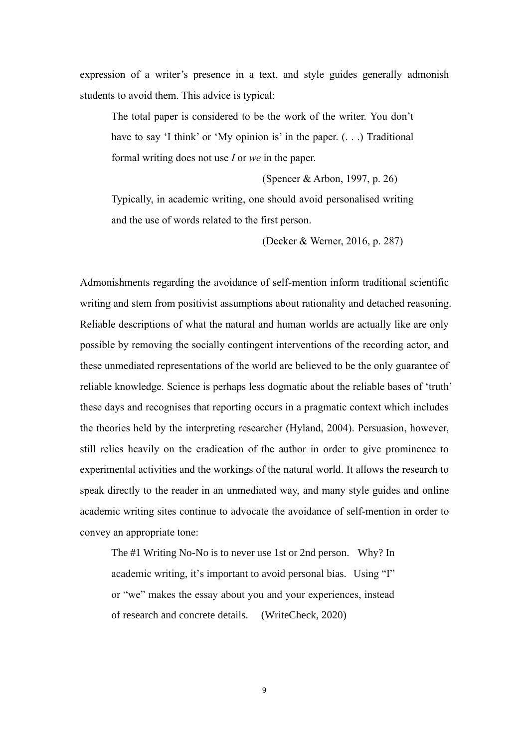expression of a writer's presence in a text, and style guides generally admonish students to avoid them. This advice is typical:

The total paper is considered to be the work of the writer. You don't have to say 'I think' or 'My opinion is' in the paper.  $( \ldots )$  Traditional formal writing does not use *I* or *we* in the paper.

(Spencer & Arbon, 1997, p. 26)

Typically, in academic writing, one should avoid personalised writing and the use of words related to the first person.

(Decker & Werner, 2016, p. 287)

Admonishments regarding the avoidance of self-mention inform traditional scientific writing and stem from positivist assumptions about rationality and detached reasoning. Reliable descriptions of what the natural and human worlds are actually like are only possible by removing the socially contingent interventions of the recording actor, and these unmediated representations of the world are believed to be the only guarantee of reliable knowledge. Science is perhaps less dogmatic about the reliable bases of 'truth' these days and recognises that reporting occurs in a pragmatic context which includes the theories held by the interpreting researcher (Hyland, 2004). Persuasion, however, still relies heavily on the eradication of the author in order to give prominence to experimental activities and the workings of the natural world. It allows the research to speak directly to the reader in an unmediated way, and many style guides and online academic writing sites continue to advocate the avoidance of self-mention in order to convey an appropriate tone:

The #1 Writing No-No is to never use 1st or 2nd person. Why? In academic writing, it's important to avoid personal bias. Using "I" or "we" makes the essay about you and your experiences, instead of research and concrete details. (WriteCheck, 2020)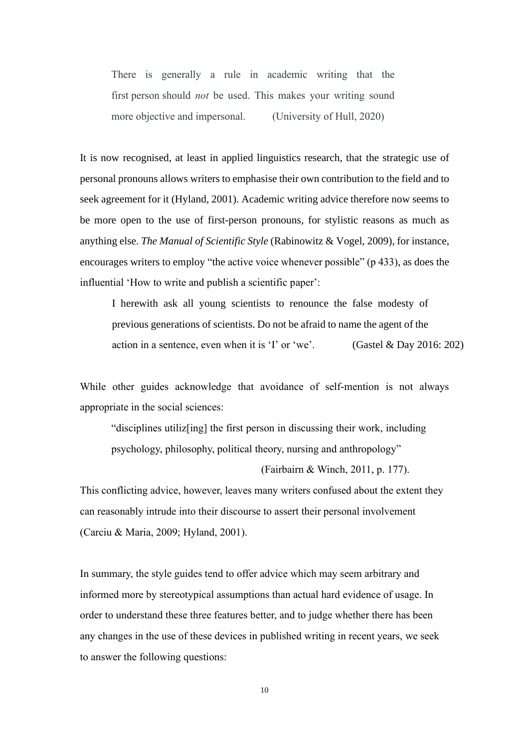There is generally a rule in academic writing that the first person should *not* be used. This makes your writing sound more objective and impersonal. (University of Hull, 2020)

It is now recognised, at least in applied linguistics research, that the strategic use of personal pronouns allows writers to emphasise their own contribution to the field and to seek agreement for it (Hyland, 2001). Academic writing advice therefore now seems to be more open to the use of first-person pronouns, for stylistic reasons as much as anything else. *The Manual of Scientific Style* (Rabinowitz & Vogel, 2009), for instance, encourages writers to employ "the active voice whenever possible" (p 433), as does the influential 'How to write and publish a scientific paper':

I herewith ask all young scientists to renounce the false modesty of previous generations of scientists. Do not be afraid to name the agent of the action in a sentence, even when it is 'I' or 'we'. (Gastel & Day 2016: 202)

While other guides acknowledge that avoidance of self-mention is not always appropriate in the social sciences:

"disciplines utiliz[ing] the first person in discussing their work, including psychology, philosophy, political theory, nursing and anthropology"

(Fairbairn & Winch, 2011, p. 177).

This conflicting advice, however, leaves many writers confused about the extent they can reasonably intrude into their discourse to assert their personal involvement (Carciu & Maria, 2009; Hyland, 2001).

In summary, the style guides tend to offer advice which may seem arbitrary and informed more by stereotypical assumptions than actual hard evidence of usage. In order to understand these three features better, and to judge whether there has been any changes in the use of these devices in published writing in recent years, we seek to answer the following questions: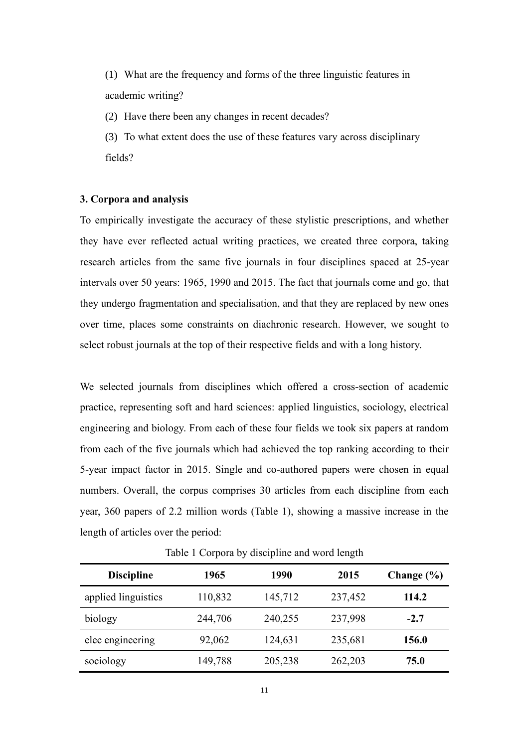(1) What are the frequency and forms of the three linguistic features in academic writing?

(2) Have there been any changes in recent decades?

(3) To what extent does the use of these features vary across disciplinary fields?

## **3. Corpora and analysis**

To empirically investigate the accuracy of these stylistic prescriptions, and whether they have ever reflected actual writing practices, we created three corpora, taking research articles from the same five journals in four disciplines spaced at 25-year intervals over 50 years: 1965, 1990 and 2015. The fact that journals come and go, that they undergo fragmentation and specialisation, and that they are replaced by new ones over time, places some constraints on diachronic research. However, we sought to select robust journals at the top of their respective fields and with a long history.

We selected journals from disciplines which offered a cross-section of academic practice, representing soft and hard sciences: applied linguistics, sociology, electrical engineering and biology. From each of these four fields we took six papers at random from each of the five journals which had achieved the top ranking according to their 5-year impact factor in 2015. Single and co-authored papers were chosen in equal numbers. Overall, the corpus comprises 30 articles from each discipline from each year, 360 papers of 2.2 million words (Table 1), showing a massive increase in the length of articles over the period:

| <b>Discipline</b>   | 1965    | 1990    | 2015    | Change $(\% )$ |
|---------------------|---------|---------|---------|----------------|
| applied linguistics | 110,832 | 145,712 | 237,452 | 114.2          |
| biology             | 244,706 | 240,255 | 237,998 | $-2.7$         |
| elec engineering    | 92,062  | 124,631 | 235,681 | 156.0          |
| sociology           | 149,788 | 205,238 | 262,203 | 75.0           |

Table 1 Corpora by discipline and word length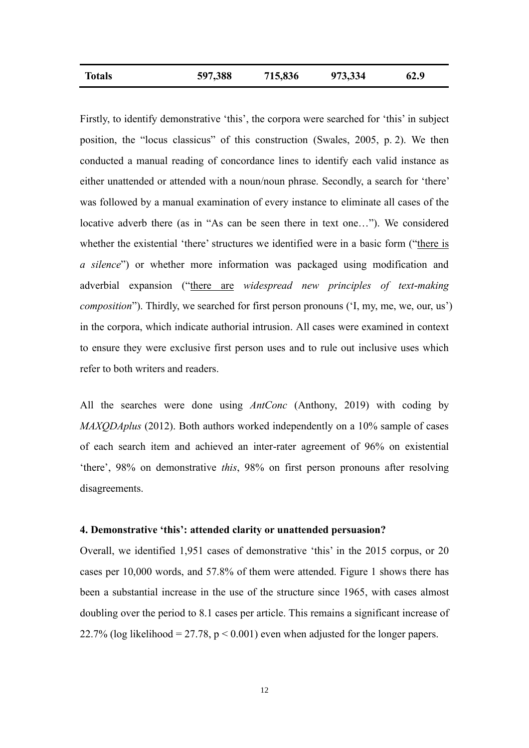| <b>Totals</b> | 597,388 | 715,836 | 973,334 | 62.9 |
|---------------|---------|---------|---------|------|
|               |         |         |         |      |

Firstly, to identify demonstrative 'this', the corpora were searched for 'this' in subject position, the "locus classicus" of this construction (Swales, 2005, p. 2). We then conducted a manual reading of concordance lines to identify each valid instance as either unattended or attended with a noun/noun phrase. Secondly, a search for 'there' was followed by a manual examination of every instance to eliminate all cases of the locative adverb there (as in "As can be seen there in text one…"). We considered whether the existential 'there' structures we identified were in a basic form ("there is *a silence*") or whether more information was packaged using modification and adverbial expansion ("there are *widespread new principles of text-making composition*"). Thirdly, we searched for first person pronouns ('I, my, me, we, our, us') in the corpora, which indicate authorial intrusion. All cases were examined in context to ensure they were exclusive first person uses and to rule out inclusive uses which refer to both writers and readers.

All the searches were done using *AntConc* (Anthony, 2019) with coding by *MAXQDAplus* (2012). Both authors worked independently on a 10% sample of cases of each search item and achieved an inter-rater agreement of 96% on existential 'there', 98% on demonstrative *this*, 98% on first person pronouns after resolving disagreements.

# **4. Demonstrative 'this': attended clarity or unattended persuasion?**

Overall, we identified 1,951 cases of demonstrative 'this' in the 2015 corpus, or 20 cases per 10,000 words, and 57.8% of them were attended. Figure 1 shows there has been a substantial increase in the use of the structure since 1965, with cases almost doubling over the period to 8.1 cases per article. This remains a significant increase of 22.7% (log likelihood = 27.78,  $p < 0.001$ ) even when adjusted for the longer papers.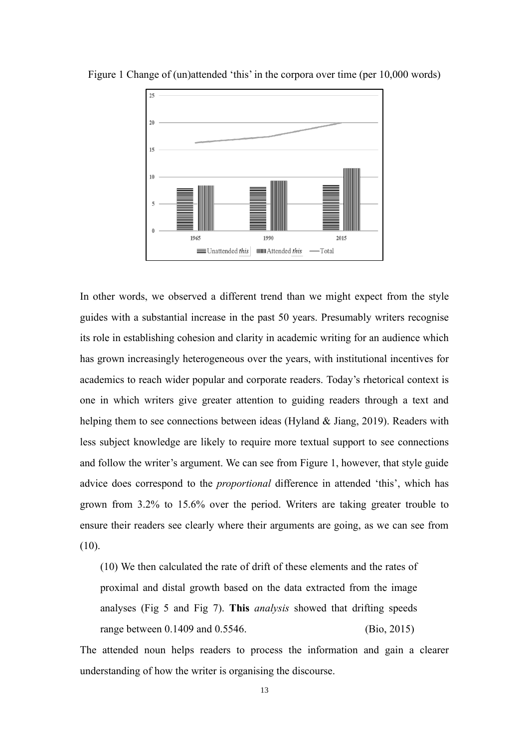

Figure 1 Change of (un)attended 'this' in the corpora over time (per 10,000 words)

In other words, we observed a different trend than we might expect from the style guides with a substantial increase in the past 50 years. Presumably writers recognise its role in establishing cohesion and clarity in academic writing for an audience which has grown increasingly heterogeneous over the years, with institutional incentives for academics to reach wider popular and corporate readers. Today's rhetorical context is one in which writers give greater attention to guiding readers through a text and helping them to see connections between ideas (Hyland & Jiang, 2019). Readers with less subject knowledge are likely to require more textual support to see connections and follow the writer's argument. We can see from Figure 1, however, that style guide advice does correspond to the *proportional* difference in attended 'this', which has grown from 3.2% to 15.6% over the period. Writers are taking greater trouble to ensure their readers see clearly where their arguments are going, as we can see from (10).

(10) We then calculated the rate of drift of these elements and the rates of proximal and distal growth based on the data extracted from the image analyses (Fig 5 and Fig 7). **This** *analysis* showed that drifting speeds range between 0.1409 and 0.5546. (Bio, 2015)

The attended noun helps readers to process the information and gain a clearer understanding of how the writer is organising the discourse.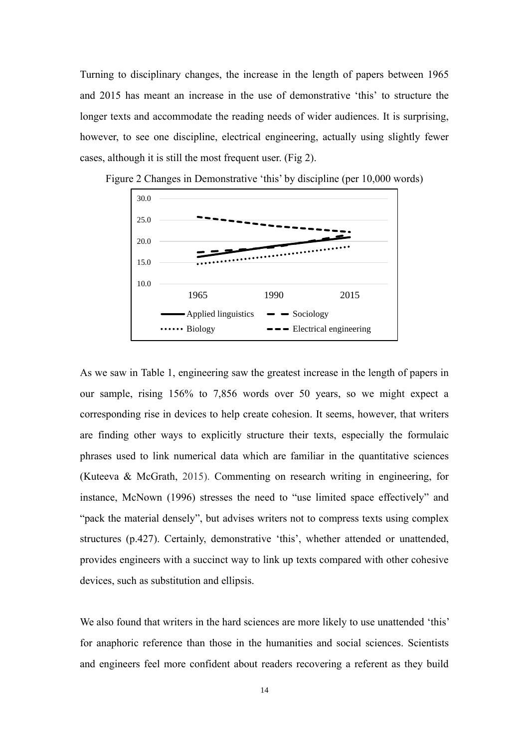Turning to disciplinary changes, the increase in the length of papers between 1965 and 2015 has meant an increase in the use of demonstrative 'this' to structure the longer texts and accommodate the reading needs of wider audiences. It is surprising, however, to see one discipline, electrical engineering, actually using slightly fewer cases, although it is still the most frequent user. (Fig 2).



Figure 2 Changes in Demonstrative 'this' by discipline (per 10,000 words)

As we saw in Table 1, engineering saw the greatest increase in the length of papers in our sample, rising 156% to 7,856 words over 50 years, so we might expect a corresponding rise in devices to help create cohesion. It seems, however, that writers are finding other ways to explicitly structure their texts, especially the formulaic phrases used to link numerical data which are familiar in the quantitative sciences (Kuteeva & McGrath, 2015). Commenting on research writing in engineering, for instance, McNown (1996) stresses the need to "use limited space effectively" and "pack the material densely", but advises writers not to compress texts using complex structures (p.427). Certainly, demonstrative 'this', whether attended or unattended, provides engineers with a succinct way to link up texts compared with other cohesive devices, such as substitution and ellipsis.

We also found that writers in the hard sciences are more likely to use unattended 'this' for anaphoric reference than those in the humanities and social sciences. Scientists and engineers feel more confident about readers recovering a referent as they build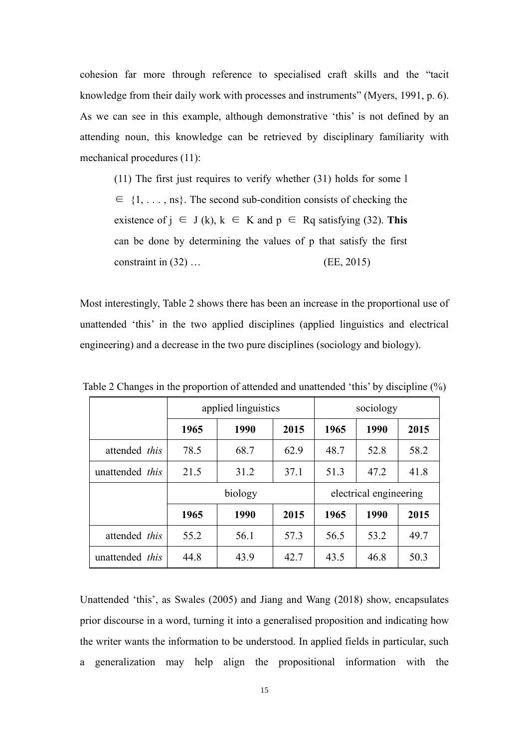cohesion far more through reference to specialised craft skills and the "tacit knowledge from their daily work with processes and instruments" (Myers, 1991, p. 6). As we can see in this example, although demonstrative 'this' is not defined by an attending noun, this knowledge can be retrieved by disciplinary familiarity with mechanical procedures (11):

(11) The first just requires to verify whether (31) holds for some l  $\in \{1, \ldots, \text{ns}\}\.$  The second sub-condition consists of checking the existence of  $j \in J(k)$ ,  $k \in K$  and  $p \in Rq$  satisfying (32). This can be done by determining the values of p that satisfy the first constraint in (32) … (EE, 2015)

Most interestingly, Table 2 shows there has been an increase in the proportional use of unattended 'this' in the two applied disciplines (applied linguistics and electrical engineering) and a decrease in the two pure disciplines (sociology and biology).

|                      |      | applied linguistics | sociology              |      |      |      |  |  |
|----------------------|------|---------------------|------------------------|------|------|------|--|--|
|                      | 1965 | 1990                | 2015                   | 1965 | 1990 | 2015 |  |  |
| attended <i>this</i> | 78.5 | 68.7                | 62.9                   | 48.7 | 52.8 | 58.2 |  |  |
| unattended this      | 21.5 | 31.2                | 37.1                   | 51.3 | 47.2 |      |  |  |
|                      |      | biology             | electrical engineering |      |      |      |  |  |
|                      | 1965 | 1990                | 2015                   | 1965 | 1990 | 2015 |  |  |
|                      |      |                     |                        |      |      |      |  |  |
| attended this        | 55.2 | 56.1                | 57.3                   | 56.5 | 53.2 | 49.7 |  |  |

Table 2 Changes in the proportion of attended and unattended 'this' by discipline (%)

Unattended 'this', as Swales (2005) and Jiang and Wang (2018) show, encapsulates prior discourse in a word, turning it into a generalised proposition and indicating how the writer wants the information to be understood. In applied fields in particular, such a generalization may help align the propositional information with the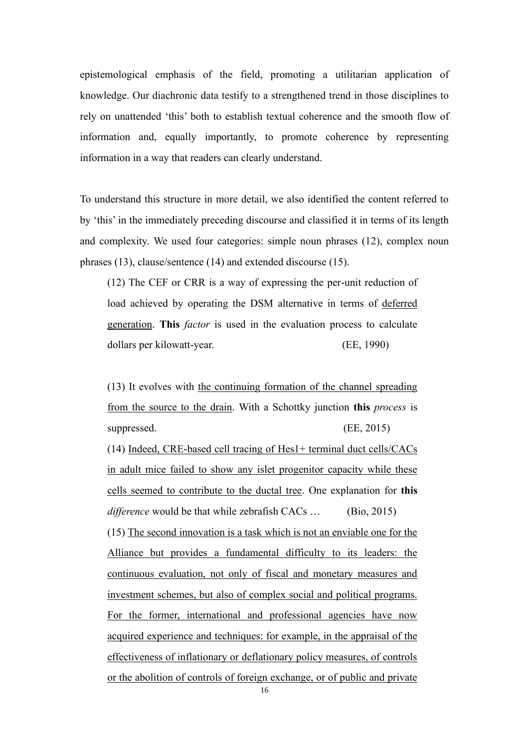epistemological emphasis of the field, promoting a utilitarian application of knowledge. Our diachronic data testify to a strengthened trend in those disciplines to rely on unattended 'this' both to establish textual coherence and the smooth flow of information and, equally importantly, to promote coherence by representing information in a way that readers can clearly understand.

To understand this structure in more detail, we also identified the content referred to by 'this' in the immediately preceding discourse and classified it in terms of its length and complexity. We used four categories: simple noun phrases (12), complex noun phrases (13), clause/sentence (14) and extended discourse (15).

(12) The CEF or CRR is a way of expressing the per-unit reduction of load achieved by operating the DSM alternative in terms of deferred generation. **This** *factor* is used in the evaluation process to calculate dollars per kilowatt-year. (EE, 1990)

(13) It evolves with the continuing formation of the channel spreading from the source to the drain. With a Schottky junction **this** *process* is suppressed. (EE, 2015)

(14) Indeed, CRE-based cell tracing of Hes1+ terminal duct cells/CACs in adult mice failed to show any islet progenitor capacity while these cells seemed to contribute to the ductal tree. One explanation for **this** *difference* would be that while zebrafish CACs … (Bio, 2015) (15) The second innovation is a task which is not an enviable one for the Alliance but provides a fundamental difficulty to its leaders: the continuous evaluation, not only of fiscal and monetary measures and investment schemes, but also of complex social and political programs. For the former, international and professional agencies have now acquired experience and techniques: for example, in the appraisal of the effectiveness of inflationary or deflationary policy measures, of controls or the abolition of controls of foreign exchange, or of public and private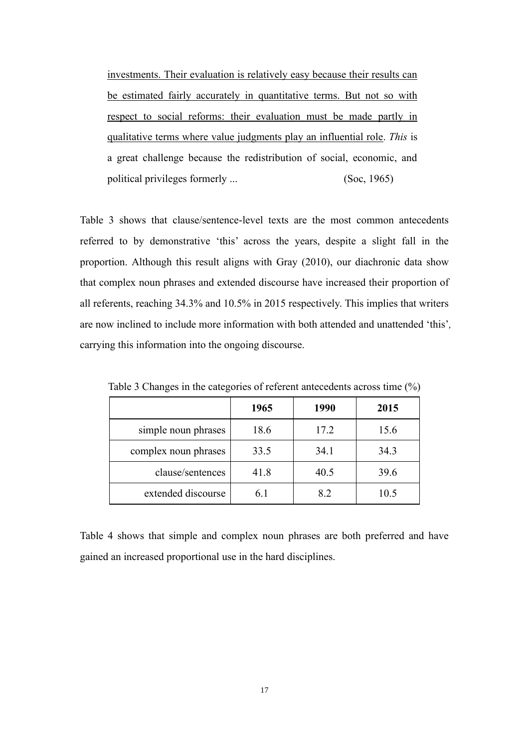investments. Their evaluation is relatively easy because their results can be estimated fairly accurately in quantitative terms. But not so with respect to social reforms: their evaluation must be made partly in qualitative terms where value judgments play an influential role. *This* is a great challenge because the redistribution of social, economic, and political privileges formerly ... (Soc, 1965)

Table 3 shows that clause/sentence-level texts are the most common antecedents referred to by demonstrative 'this' across the years, despite a slight fall in the proportion. Although this result aligns with Gray (2010), our diachronic data show that complex noun phrases and extended discourse have increased their proportion of all referents, reaching 34.3% and 10.5% in 2015 respectively. This implies that writers are now inclined to include more information with both attended and unattended 'this'*,*  carrying this information into the ongoing discourse.

| . .                  | $\overline{\phantom{a}}$ |      |      |  |
|----------------------|--------------------------|------|------|--|
|                      | 1965                     | 1990 | 2015 |  |
| simple noun phrases  | 18.6                     | 17.2 | 15.6 |  |
| complex noun phrases | 33.5                     | 34.1 | 34.3 |  |
| clause/sentences     | 41.8                     | 40.5 | 39.6 |  |
| extended discourse   | 6.1                      | 8.2  | 10.5 |  |

Table 3 Changes in the categories of referent antecedents across time (%)

Table 4 shows that simple and complex noun phrases are both preferred and have gained an increased proportional use in the hard disciplines.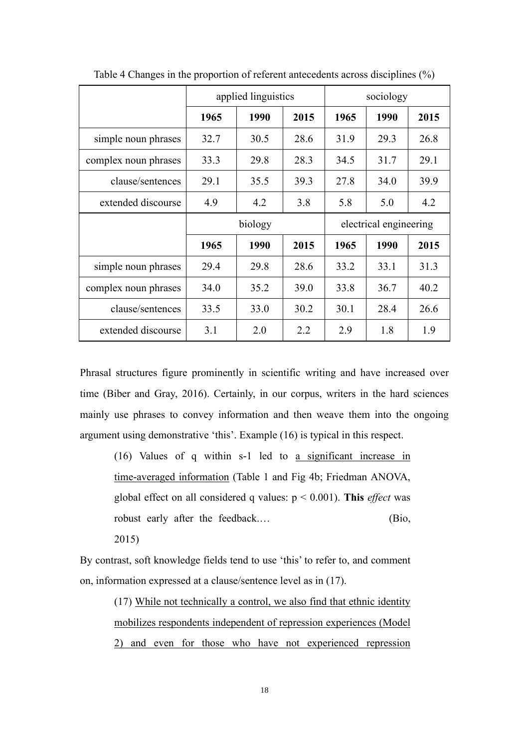|                      |      | applied linguistics |      | sociology              |      |      |  |
|----------------------|------|---------------------|------|------------------------|------|------|--|
|                      | 1965 | 1990                | 2015 | 1965                   | 1990 | 2015 |  |
| simple noun phrases  | 32.7 | 30.5                | 28.6 | 31.9                   | 29.3 | 26.8 |  |
| complex noun phrases | 33.3 | 29.8                | 28.3 | 34.5                   | 31.7 | 29.1 |  |
| clause/sentences     | 29.1 |                     | 39.3 | 27.8                   | 34.0 | 39.9 |  |
| extended discourse   | 4.9  | 4.2                 | 3.8  | 5.8                    | 5.0  | 4.2  |  |
|                      |      | biology             |      | electrical engineering |      |      |  |
|                      | 1965 | 1990                | 2015 | 1965                   | 1990 | 2015 |  |
| simple noun phrases  | 29.4 | 29.8                | 28.6 | 33.2                   | 33.1 | 31.3 |  |
| complex noun phrases | 34.0 | 35.2                | 39.0 | 33.8                   | 36.7 | 40.2 |  |
| clause/sentences     | 33.5 | 33.0                | 30.2 | 30.1                   | 28.4 | 26.6 |  |
|                      |      |                     |      |                        |      |      |  |

Table 4 Changes in the proportion of referent antecedents across disciplines (%)

Phrasal structures figure prominently in scientific writing and have increased over time (Biber and Gray, 2016). Certainly, in our corpus, writers in the hard sciences mainly use phrases to convey information and then weave them into the ongoing argument using demonstrative 'this'. Example (16) is typical in this respect.

(16) Values of q within s-1 led to a significant increase in time-averaged information (Table 1 and Fig 4b; Friedman ANOVA, global effect on all considered q values: p < 0.001). **This** *effect* was robust early after the feedback.... (Bio, 2015)

By contrast, soft knowledge fields tend to use 'this' to refer to, and comment on, information expressed at a clause/sentence level as in (17).

> (17) While not technically a control, we also find that ethnic identity mobilizes respondents independent of repression experiences (Model 2) and even for those who have not experienced repression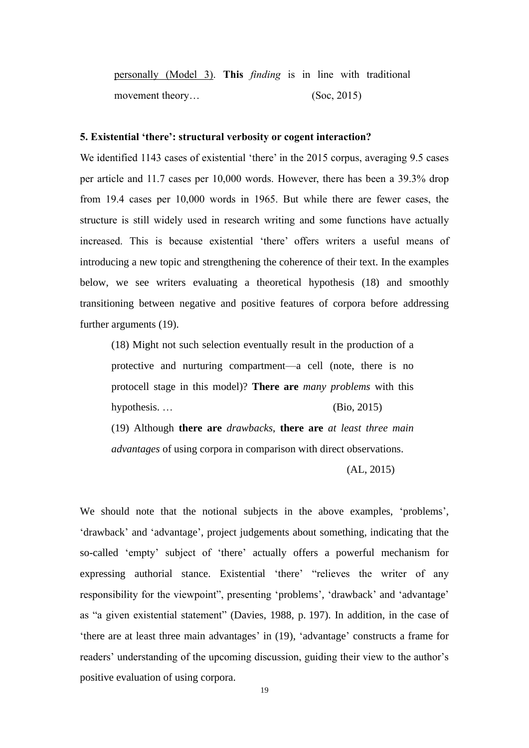personally (Model 3). **This** *finding* is in line with traditional movement theory… (Soc, 2015)

#### **5. Existential 'there': structural verbosity or cogent interaction?**

We identified 1143 cases of existential 'there' in the 2015 corpus, averaging 9.5 cases per article and 11.7 cases per 10,000 words. However, there has been a 39.3% drop from 19.4 cases per 10,000 words in 1965. But while there are fewer cases, the structure is still widely used in research writing and some functions have actually increased. This is because existential 'there' offers writers a useful means of introducing a new topic and strengthening the coherence of their text. In the examples below, we see writers evaluating a theoretical hypothesis (18) and smoothly transitioning between negative and positive features of corpora before addressing further arguments (19).

(18) Might not such selection eventually result in the production of a protective and nurturing compartment—a cell (note, there is no protocell stage in this model)? **There are** *many problems* with this hypothesis. … (Bio, 2015)

(19) Although **there are** *drawbacks*, **there are** *at least three main advantages* of using corpora in comparison with direct observations.

(AL, 2015)

We should note that the notional subjects in the above examples, 'problems', 'drawback' and 'advantage', project judgements about something, indicating that the so-called 'empty' subject of 'there' actually offers a powerful mechanism for expressing authorial stance. Existential 'there' "relieves the writer of any responsibility for the viewpoint", presenting 'problems', 'drawback' and 'advantage' as "a given existential statement" (Davies, 1988, p. 197). In addition, in the case of 'there are at least three main advantages' in (19), 'advantage' constructs a frame for readers' understanding of the upcoming discussion, guiding their view to the author's positive evaluation of using corpora.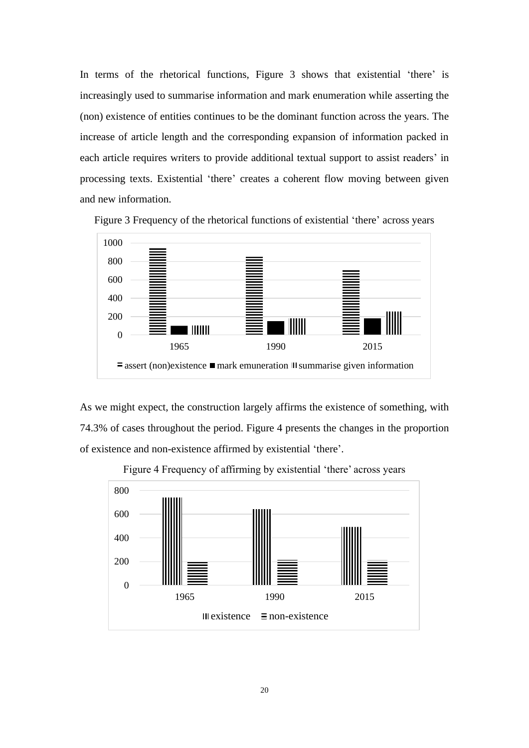In terms of the rhetorical functions, Figure 3 shows that existential 'there' is increasingly used to summarise information and mark enumeration while asserting the (non) existence of entities continues to be the dominant function across the years. The increase of article length and the corresponding expansion of information packed in each article requires writers to provide additional textual support to assist readers' in processing texts. Existential 'there' creates a coherent flow moving between given and new information.



Figure 3 Frequency of the rhetorical functions of existential 'there' across years

As we might expect, the construction largely affirms the existence of something, with 74.3% of cases throughout the period. Figure 4 presents the changes in the proportion of existence and non-existence affirmed by existential 'there'.



Figure 4 Frequency of affirming by existential 'there' across years

20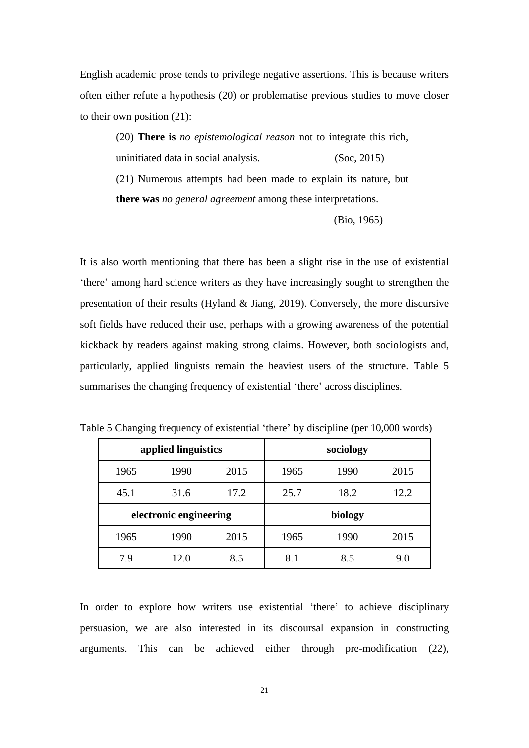English academic prose tends to privilege negative assertions. This is because writers often either refute a hypothesis (20) or problematise previous studies to move closer to their own position (21):

(20) **There is** *no epistemological reason* not to integrate this rich, uninitiated data in social analysis. (Soc, 2015) (21) Numerous attempts had been made to explain its nature, but **there was** *no general agreement* among these interpretations.

(Bio, 1965)

It is also worth mentioning that there has been a slight rise in the use of existential 'there' among hard science writers as they have increasingly sought to strengthen the presentation of their results (Hyland & Jiang, 2019). Conversely, the more discursive soft fields have reduced their use, perhaps with a growing awareness of the potential kickback by readers against making strong claims. However, both sociologists and, particularly, applied linguists remain the heaviest users of the structure. Table 5 summarises the changing frequency of existential 'there' across disciplines.

|      | applied linguistics    |      | sociology |      |      |  |
|------|------------------------|------|-----------|------|------|--|
| 1965 | 1990                   | 2015 | 1965      | 1990 | 2015 |  |
| 45.1 | 31.6                   | 17.2 | 25.7      | 18.2 | 12.2 |  |
|      | electronic engineering |      |           |      |      |  |
|      |                        |      |           |      |      |  |
| 1965 | 1990                   | 2015 | 1965      | 1990 | 2015 |  |

Table 5 Changing frequency of existential 'there' by discipline (per 10,000 words)

In order to explore how writers use existential 'there' to achieve disciplinary persuasion, we are also interested in its discoursal expansion in constructing arguments. This can be achieved either through pre-modification (22),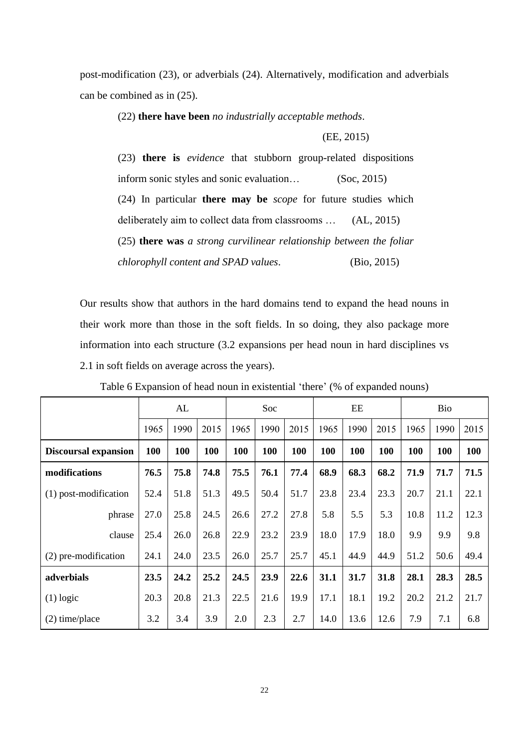post-modification (23), or adverbials (24). Alternatively, modification and adverbials can be combined as in (25).

(22) **there have been** *no industrially acceptable methods*.

(EE, 2015)

(23) **there is** *evidence* that stubborn group-related dispositions inform sonic styles and sonic evaluation… (Soc, 2015) (24) In particular **there may be** *scope* for future studies which deliberately aim to collect data from classrooms … (AL, 2015) (25) **there was** *a strong curvilinear relationship between the foliar chlorophyll content and SPAD values*. (Bio, 2015)

Our results show that authors in the hard domains tend to expand the head nouns in their work more than those in the soft fields. In so doing, they also package more information into each structure (3.2 expansions per head noun in hard disciplines vs 2.1 in soft fields on average across the years).

|                             |      | AL   |      |      | <b>Soc</b> |      |      | EE   |      |      | <b>Bio</b> |      |
|-----------------------------|------|------|------|------|------------|------|------|------|------|------|------------|------|
|                             | 1965 | 1990 | 2015 | 1965 | 1990       | 2015 | 1965 | 1990 | 2015 | 1965 | 1990       | 2015 |
| <b>Discoursal expansion</b> | 100  | 100  | 100  | 100  | 100        | 100  | 100  | 100  | 100  | 100  | <b>100</b> | 100  |
| modifications               | 76.5 | 75.8 | 74.8 | 75.5 | 76.1       | 77.4 | 68.9 | 68.3 | 68.2 | 71.9 | 71.7       | 71.5 |
| (1) post-modification       | 52.4 | 51.8 | 51.3 | 49.5 | 50.4       | 51.7 | 23.8 | 23.4 | 23.3 | 20.7 | 21.1       | 22.1 |
| phrase                      | 27.0 | 25.8 | 24.5 | 26.6 | 27.2       | 27.8 | 5.8  | 5.5  | 5.3  | 10.8 | 11.2       | 12.3 |
| clause                      | 25.4 | 26.0 | 26.8 | 22.9 | 23.2       | 23.9 | 18.0 | 17.9 | 18.0 | 9.9  | 9.9        | 9.8  |
| (2) pre-modification        | 24.1 | 24.0 | 23.5 | 26.0 | 25.7       | 25.7 | 45.1 | 44.9 | 44.9 | 51.2 | 50.6       | 49.4 |
| adverbials                  | 23.5 | 24.2 | 25.2 | 24.5 | 23.9       | 22.6 | 31.1 | 31.7 | 31.8 | 28.1 | 28.3       | 28.5 |
| $(1)$ logic                 | 20.3 | 20.8 | 21.3 | 22.5 | 21.6       | 19.9 | 17.1 | 18.1 | 19.2 | 20.2 | 21.2       | 21.7 |
| $(2)$ time/place            | 3.2  | 3.4  | 3.9  | 2.0  | 2.3        | 2.7  | 14.0 | 13.6 | 12.6 | 7.9  | 7.1        | 6.8  |

Table 6 Expansion of head noun in existential 'there' (% of expanded nouns)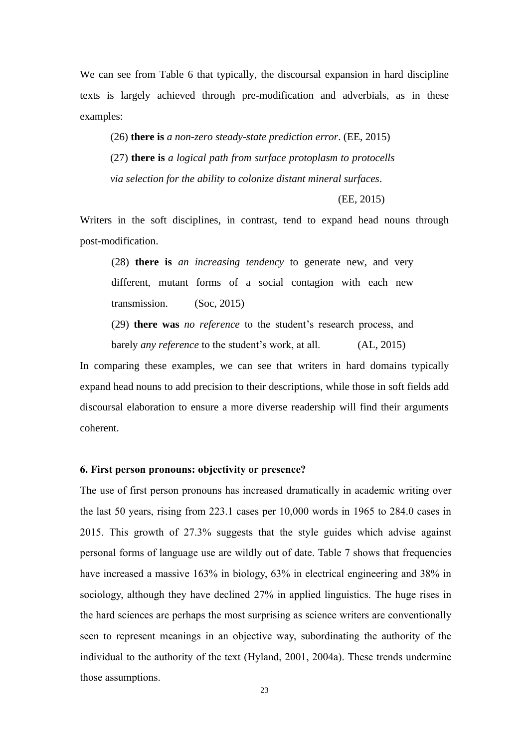We can see from Table 6 that typically, the discoursal expansion in hard discipline texts is largely achieved through pre-modification and adverbials, as in these examples:

(26) **there is** *a non-zero steady-state prediction error*. (EE, 2015) (27) **there is** *a logical path from surface protoplasm to protocells via selection for the ability to colonize distant mineral surfaces*.

(EE, 2015)

Writers in the soft disciplines, in contrast, tend to expand head nouns through post-modification.

(28) **there is** *an increasing tendency* to generate new, and very different, mutant forms of a social contagion with each new transmission. (Soc, 2015)

(29) **there was** *no reference* to the student's research process, and

barely *any reference* to the student's work, at all. (AL, 2015)

In comparing these examples, we can see that writers in hard domains typically expand head nouns to add precision to their descriptions, while those in soft fields add discoursal elaboration to ensure a more diverse readership will find their arguments coherent.

### **6. First person pronouns: objectivity or presence?**

The use of first person pronouns has increased dramatically in academic writing over the last 50 years, rising from 223.1 cases per 10,000 words in 1965 to 284.0 cases in 2015. This growth of 27.3% suggests that the style guides which advise against personal forms of language use are wildly out of date. Table 7 shows that frequencies have increased a massive 163% in biology, 63% in electrical engineering and 38% in sociology, although they have declined 27% in applied linguistics. The huge rises in the hard sciences are perhaps the most surprising as science writers are conventionally seen to represent meanings in an objective way, subordinating the authority of the individual to the authority of the text (Hyland, 2001, 2004a). These trends undermine those assumptions.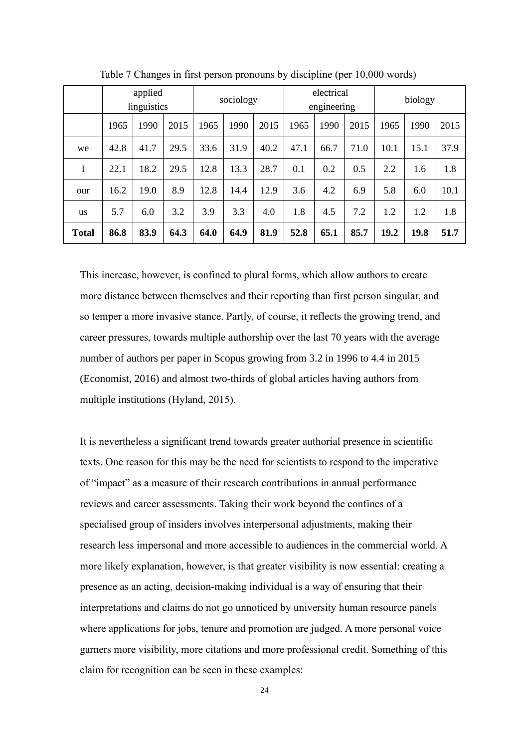|              | applied<br>linguistics |      |      | electrical<br>sociology<br>engineering |      |      |      |      |      | biology |      |      |  |
|--------------|------------------------|------|------|----------------------------------------|------|------|------|------|------|---------|------|------|--|
|              | 1965                   | 1990 | 2015 | 1965                                   | 1990 | 2015 | 1965 | 1990 | 2015 | 1965    | 1990 | 2015 |  |
| we           | 42.8                   | 41.7 | 29.5 | 33.6                                   | 31.9 | 40.2 | 47.1 | 66.7 | 71.0 | 10.1    | 15.1 | 37.9 |  |
| I            | 22.1                   | 18.2 | 29.5 | 12.8                                   | 13.3 | 28.7 | 0.1  | 0.2  | 0.5  | 2.2     | 1.6  | 1.8  |  |
| our          | 16.2                   | 19.0 | 8.9  | 12.8                                   | 14.4 | 12.9 | 3.6  | 4.2  | 6.9  | 5.8     | 6.0  | 10.1 |  |
| <b>us</b>    | 5.7                    | 6.0  | 3.2  | 3.9                                    | 3.3  | 4.0  | 1.8  | 4.5  | 7.2  | 1.2     | 1.2  | 1.8  |  |
| <b>Total</b> | 86.8                   | 83.9 | 64.3 | 64.0                                   | 64.9 | 81.9 | 52.8 | 65.1 | 85.7 | 19.2    | 19.8 | 51.7 |  |

Table 7 Changes in first person pronouns by discipline (per 10,000 words)

This increase, however, is confined to plural forms, which allow authors to create more distance between themselves and their reporting than first person singular, and so temper a more invasive stance. Partly, of course, it reflects the growing trend, and career pressures, towards multiple authorship over the last 70 years with the average number of authors per paper in Scopus growing from 3.2 in 1996 to 4.4 in 2015 (Economist, 2016) and almost two-thirds of global articles having authors from multiple institutions (Hyland, 2015).

It is nevertheless a significant trend towards greater authorial presence in scientific texts. One reason for this may be the need for scientists to respond to the imperative of "impact" as a measure of their research contributions in annual performance reviews and career assessments. Taking their work beyond the confines of a specialised group of insiders involves interpersonal adjustments, making their research less impersonal and more accessible to audiences in the commercial world. A more likely explanation, however, is that greater visibility is now essential: creating a presence as an acting, decision-making individual is a way of ensuring that their interpretations and claims do not go unnoticed by university human resource panels where applications for jobs, tenure and promotion are judged. A more personal voice garners more visibility, more citations and more professional credit. Something of this claim for recognition can be seen in these examples: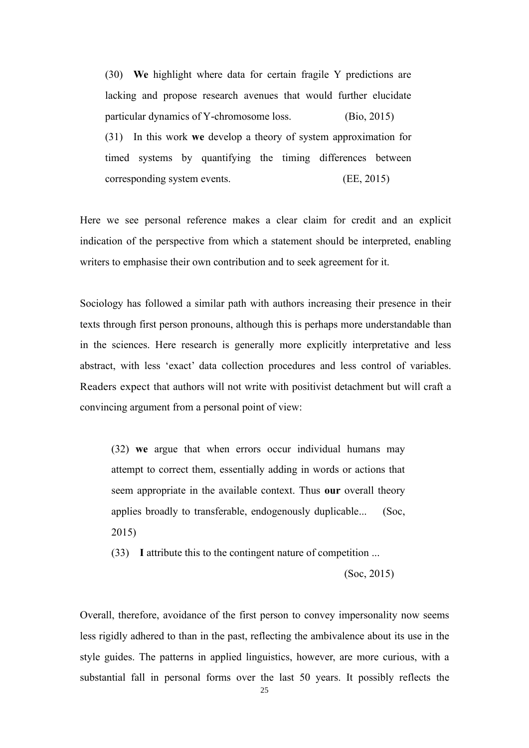(30) **We** highlight where data for certain fragile Y predictions are lacking and propose research avenues that would further elucidate particular dynamics of Y-chromosome loss. (Bio, 2015) (31) In this work **we** develop a theory of system approximation for timed systems by quantifying the timing differences between corresponding system events. (EE, 2015)

Here we see personal reference makes a clear claim for credit and an explicit indication of the perspective from which a statement should be interpreted, enabling writers to emphasise their own contribution and to seek agreement for it.

Sociology has followed a similar path with authors increasing their presence in their texts through first person pronouns, although this is perhaps more understandable than in the sciences. Here research is generally more explicitly interpretative and less abstract, with less 'exact' data collection procedures and less control of variables. Readers expect that authors will not write with positivist detachment but will craft a convincing argument from a personal point of view:

(32) **we** argue that when errors occur individual humans may attempt to correct them, essentially adding in words or actions that seem appropriate in the available context. Thus **our** overall theory applies broadly to transferable, endogenously duplicable... (Soc, 2015)

(33) **I** attribute this to the contingent nature of competition ...

(Soc, 2015)

Overall, therefore, avoidance of the first person to convey impersonality now seems less rigidly adhered to than in the past, reflecting the ambivalence about its use in the style guides. The patterns in applied linguistics, however, are more curious, with a substantial fall in personal forms over the last 50 years. It possibly reflects the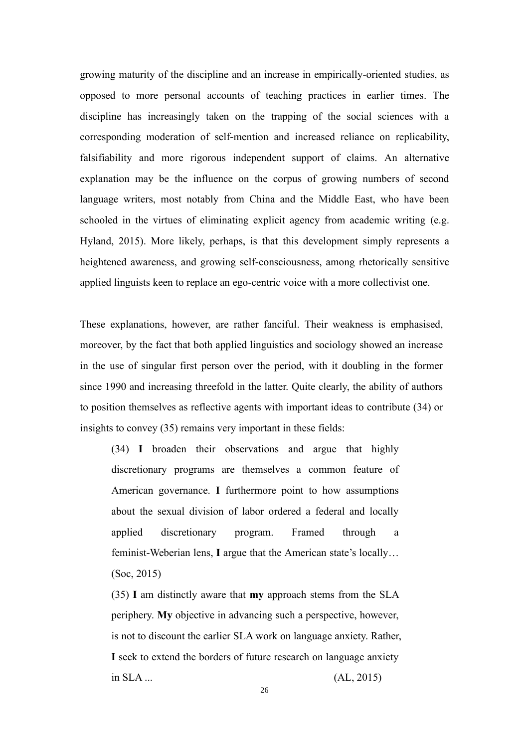growing maturity of the discipline and an increase in empirically-oriented studies, as opposed to more personal accounts of teaching practices in earlier times. The discipline has increasingly taken on the trapping of the social sciences with a corresponding moderation of self-mention and increased reliance on replicability, falsifiability and more rigorous independent support of claims. An alternative explanation may be the influence on the corpus of growing numbers of second language writers, most notably from China and the Middle East, who have been schooled in the virtues of eliminating explicit agency from academic writing (e.g. Hyland, 2015). More likely, perhaps, is that this development simply represents a heightened awareness, and growing self-consciousness, among rhetorically sensitive applied linguists keen to replace an ego-centric voice with a more collectivist one.

These explanations, however, are rather fanciful. Their weakness is emphasised, moreover, by the fact that both applied linguistics and sociology showed an increase in the use of singular first person over the period, with it doubling in the former since 1990 and increasing threefold in the latter. Quite clearly, the ability of authors to position themselves as reflective agents with important ideas to contribute (34) or insights to convey (35) remains very important in these fields:

(34) **I** broaden their observations and argue that highly discretionary programs are themselves a common feature of American governance. **I** furthermore point to how assumptions about the sexual division of labor ordered a federal and locally applied discretionary program. Framed through a feminist-Weberian lens, **I** argue that the American state's locally… (Soc, 2015)

(35) **I** am distinctly aware that **my** approach stems from the SLA periphery. **My** objective in advancing such a perspective, however, is not to discount the earlier SLA work on language anxiety. Rather, **I** seek to extend the borders of future research on language anxiety in SLA ... (AL, 2015)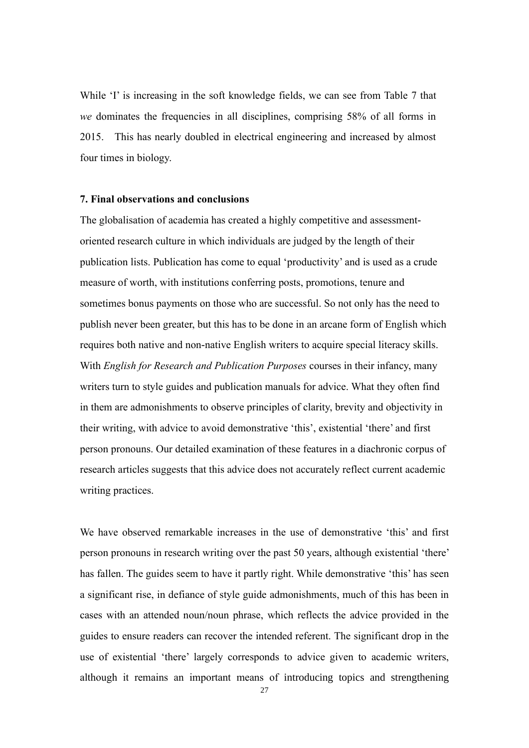While 'I' is increasing in the soft knowledge fields, we can see from Table 7 that *we* dominates the frequencies in all disciplines, comprising 58% of all forms in 2015. This has nearly doubled in electrical engineering and increased by almost four times in biology.

#### **7. Final observations and conclusions**

The globalisation of academia has created a highly competitive and assessmentoriented research culture in which individuals are judged by the length of their publication lists. Publication has come to equal 'productivity' and is used as a crude measure of worth, with institutions conferring posts, promotions, tenure and sometimes bonus payments on those who are successful. So not only has the need to publish never been greater, but this has to be done in an arcane form of English which requires both native and non-native English writers to acquire special literacy skills. With *English for Research and Publication Purposes* courses in their infancy, many writers turn to style guides and publication manuals for advice. What they often find in them are admonishments to observe principles of clarity, brevity and objectivity in their writing, with advice to avoid demonstrative 'this', existential 'there' and first person pronouns. Our detailed examination of these features in a diachronic corpus of research articles suggests that this advice does not accurately reflect current academic writing practices.

We have observed remarkable increases in the use of demonstrative 'this' and first person pronouns in research writing over the past 50 years, although existential 'there' has fallen. The guides seem to have it partly right. While demonstrative 'this' has seen a significant rise, in defiance of style guide admonishments, much of this has been in cases with an attended noun/noun phrase, which reflects the advice provided in the guides to ensure readers can recover the intended referent. The significant drop in the use of existential 'there' largely corresponds to advice given to academic writers, although it remains an important means of introducing topics and strengthening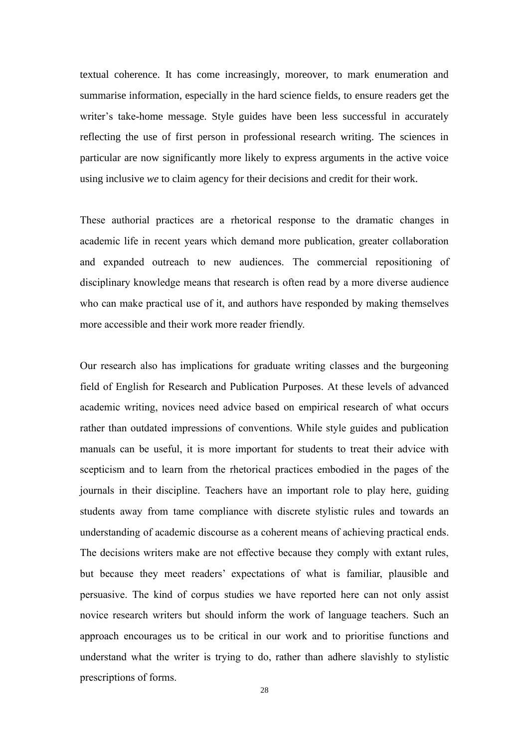textual coherence. It has come increasingly, moreover, to mark enumeration and summarise information, especially in the hard science fields, to ensure readers get the writer's take-home message. Style guides have been less successful in accurately reflecting the use of first person in professional research writing. The sciences in particular are now significantly more likely to express arguments in the active voice using inclusive *we* to claim agency for their decisions and credit for their work.

These authorial practices are a rhetorical response to the dramatic changes in academic life in recent years which demand more publication, greater collaboration and expanded outreach to new audiences. The commercial repositioning of disciplinary knowledge means that research is often read by a more diverse audience who can make practical use of it, and authors have responded by making themselves more accessible and their work more reader friendly.

Our research also has implications for graduate writing classes and the burgeoning field of English for Research and Publication Purposes. At these levels of advanced academic writing, novices need advice based on empirical research of what occurs rather than outdated impressions of conventions. While style guides and publication manuals can be useful, it is more important for students to treat their advice with scepticism and to learn from the rhetorical practices embodied in the pages of the journals in their discipline. Teachers have an important role to play here, guiding students away from tame compliance with discrete stylistic rules and towards an understanding of academic discourse as a coherent means of achieving practical ends. The decisions writers make are not effective because they comply with extant rules, but because they meet readers' expectations of what is familiar, plausible and persuasive. The kind of corpus studies we have reported here can not only assist novice research writers but should inform the work of language teachers. Such an approach encourages us to be critical in our work and to prioritise functions and understand what the writer is trying to do, rather than adhere slavishly to stylistic prescriptions of forms.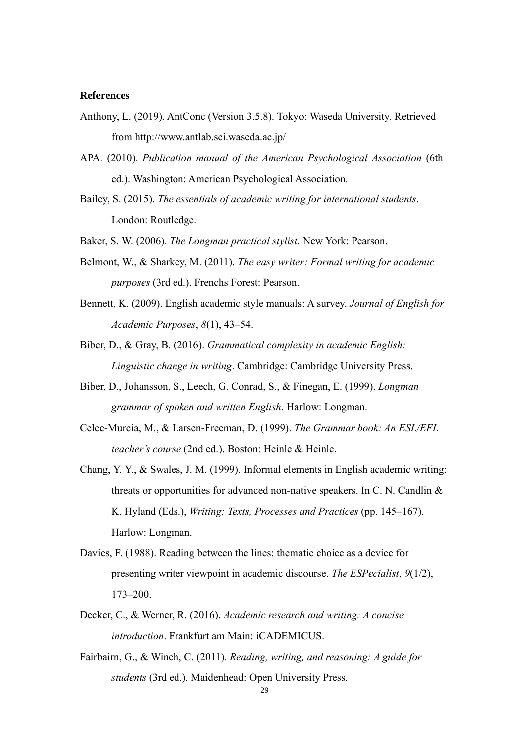#### **References**

- Anthony, L. (2019). AntConc (Version 3.5.8). Tokyo: Waseda University. Retrieved from http://www.antlab.sci.waseda.ac.jp/
- APA*.* (2010). *Publication manual of the American Psychological Association* (6th ed.). Washington: American Psychological Association*.*
- Bailey, S. (2015). *The essentials of academic writing for international students*. London: Routledge.
- Baker, S. W. (2006). *The Longman practical stylist*. New York: Pearson.
- Belmont, W., & Sharkey, M. (2011). *The easy writer: Formal writing for academic purposes* (3rd ed.). Frenchs Forest: Pearson.
- Bennett, K. (2009). English academic style manuals: A survey. *Journal of English for Academic Purposes*, *8*(1), 43–54.
- Biber, D., & Gray, B. (2016). *Grammatical complexity in academic English: Linguistic change in writing*. Cambridge: Cambridge University Press.
- Biber, D., Johansson, S., Leech, G. Conrad, S., & Finegan, E. (1999). *Longman grammar of spoken and written English*. Harlow: Longman.
- Celce-Murcia, M., & Larsen-Freeman, D. (1999). *The Grammar book: An ESL/EFL teacher's course* (2nd ed.). Boston: Heinle & Heinle.
- Chang, Y. Y., & Swales, J. M. (1999). Informal elements in English academic writing: threats or opportunities for advanced non-native speakers. In C. N. Candlin & K. Hyland (Eds.), *Writing: Texts, Processes and Practices* (pp. 145–167). Harlow: Longman.
- Davies, F. (1988). Reading between the lines: thematic choice as a device for presenting writer viewpoint in academic discourse. *The ESPecialist*, *9*(1/2), 173–200.
- Decker, C., & Werner, R. (2016). *Academic research and writing: A concise introduction*. Frankfurt am Main: iCADEMICUS.
- Fairbairn, G., & Winch, C. (2011). *Reading, writing, and reasoning: A guide for students* (3rd ed.). Maidenhead: Open University Press.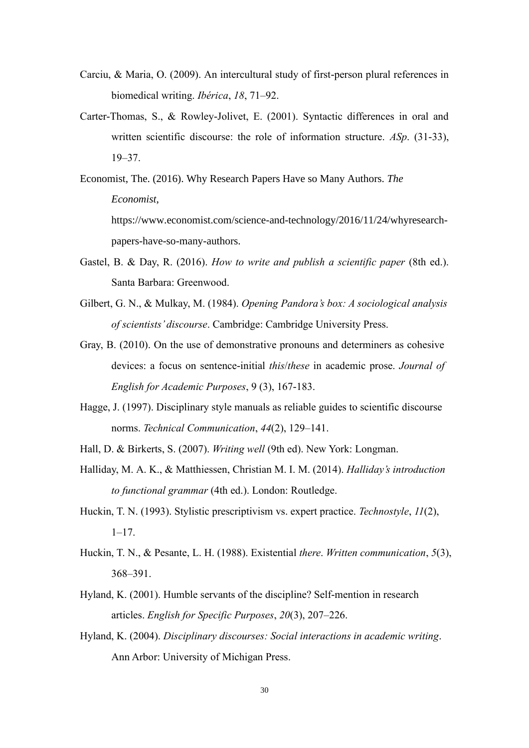- Carciu, & Maria, O. (2009). An intercultural study of first-person plural references in biomedical writing. *Ibérica*, *18*, 71–92.
- Carter-Thomas, S., & Rowley-Jolivet, E. (2001). Syntactic differences in oral and written scientific discourse: the role of information structure. *ASp*. (31-33), 19–37.

Economist, The. (2016). Why Research Papers Have so Many Authors. *The Economist*, https://www.economist.com/science-and-technology/2016/11/24/whyresearchpapers-have-so-many-authors.

- Gastel, B. & Day, R. (2016). *How to write and publish a scientific paper* (8th ed.). Santa Barbara: Greenwood.
- Gilbert, G. N., & Mulkay, M. (1984). *Opening Pandora's box: A sociological analysis of scientists' discourse*. Cambridge: Cambridge University Press.
- Gray, B. (2010). On the use of demonstrative pronouns and determiners as cohesive devices: a focus on sentence-initial *this*/*these* in academic prose. *Journal of English for Academic Purposes*, 9 (3), 167-183.
- Hagge, J. (1997). Disciplinary style manuals as reliable guides to scientific discourse norms. *Technical Communication*, *44*(2), 129–141.
- Hall, D. & Birkerts, S. (2007). *Writing well* (9th ed). New York: Longman.
- Halliday, M. A. K., & Matthiessen, Christian M. I. M. (2014). *Halliday's introduction to functional grammar* (4th ed.). London: Routledge.
- Huckin, T. N. (1993). Stylistic prescriptivism vs. expert practice. *Technostyle*, *11*(2),  $1 - 17$ .
- Huckin, T. N., & Pesante, L. H. (1988). Existential *there*. *Written communication*, *5*(3), 368–391.
- Hyland, K. (2001). Humble servants of the discipline? Self-mention in research articles. *English for Specific Purposes*, *20*(3), 207–226.
- Hyland, K. (2004). *Disciplinary discourses: Social interactions in academic writing*. Ann Arbor: University of Michigan Press.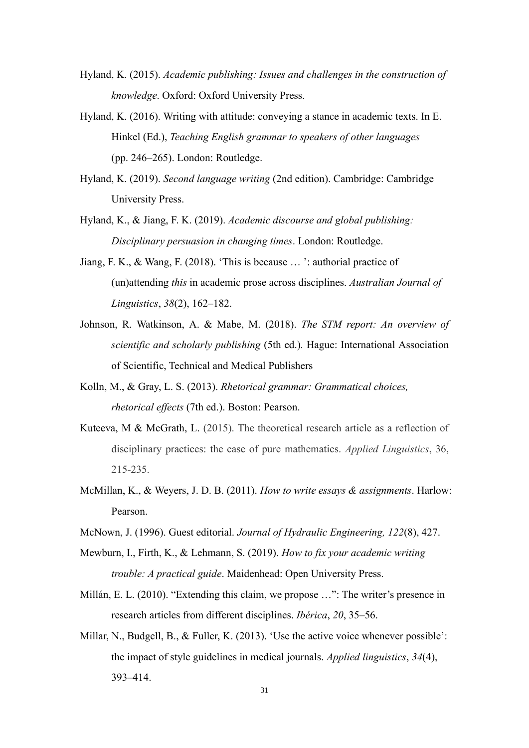- Hyland, K. (2015). *Academic publishing: Issues and challenges in the construction of knowledge*. Oxford: Oxford University Press.
- Hyland, K. (2016). Writing with attitude: conveying a stance in academic texts. In E. Hinkel (Ed.), *Teaching English grammar to speakers of other languages*  (pp. 246–265). London: Routledge.
- Hyland, K. (2019). *Second language writing* (2nd edition). Cambridge: Cambridge University Press.
- Hyland, K., & Jiang, F. K. (2019). *Academic discourse and global publishing: Disciplinary persuasion in changing times*. London: Routledge.
- Jiang, F. K., & Wang, F. (2018). 'This is because … ': authorial practice of (un)attending *this* in academic prose across disciplines. *Australian Journal of Linguistics*, *38*(2), 162–182.
- Johnson, R. Watkinson, A. & Mabe, M. (2018). *The STM report: An overview of scientific and scholarly publishing* (5th ed.)*.* Hague: International Association of Scientific, Technical and Medical Publishers
- Kolln, M., & Gray, L. S. (2013). *Rhetorical grammar: Grammatical choices, rhetorical effects* (7th ed.). Boston: Pearson.
- Kuteeva, M & McGrath, L. (2015). The theoretical research article as a reflection of disciplinary practices: the case of pure mathematics. *Applied Linguistics*, 36, 215-235.
- McMillan, K., & Weyers, J. D. B. (2011). *How to write essays & assignments*. Harlow: Pearson.
- McNown, J. (1996). Guest editorial. *Journal of Hydraulic Engineering, 122*(8), 427.
- Mewburn, I., Firth, K., & Lehmann, S. (2019). *How to fix your academic writing trouble: A practical guide*. Maidenhead: Open University Press.
- Millán, E. L. (2010). "Extending this claim, we propose …": The writer's presence in research articles from different disciplines. *Ibérica*, *20*, 35–56.
- Millar, N., Budgell, B., & Fuller, K. (2013). 'Use the active voice whenever possible': the impact of style guidelines in medical journals. *Applied linguistics*, *34*(4), 393–414.